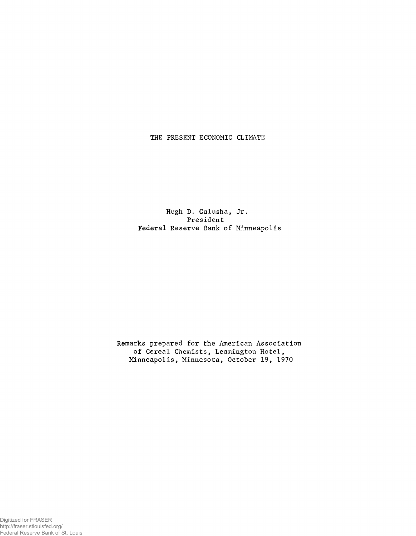## THE PRESENT ECONOMIC CLIMATE

Hugh D. Galusha, Jr. President Federal Reserve Bank of Minneapolis

Remarks prepared for the American Association of Cereal Chemists, Leamington Hotel, Minneapolis, Minnesota, October 19, 1970

Digitized for FRASER http://fraser.stlouisfed.org/ Federal Reserve Bank of St. Louis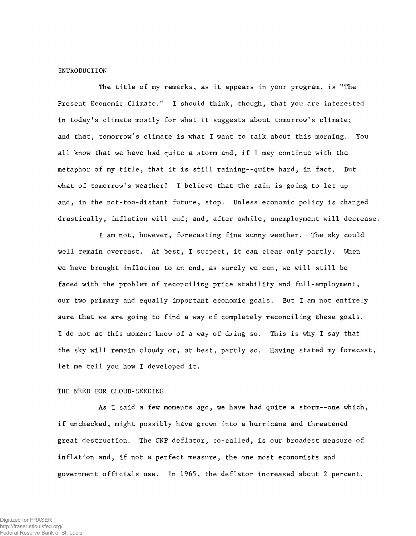# INTRODUCTION

The title of my remarks, as it appears in your program, is "The Present Economic Climate." I should think, though, that you are interested in today's climate mostly for what it suggests about tomorrow's climate; and that, tomorrow's climate is what I want to talk about this morning. You all know that we have had quite a storm and, if I may continue with the metaphor of my title, that it is still raining--quite hard, in fact. But what of tomorrow's weather? I believe that the rain is going to let up and, in the not-too-distant future, stop. Unless economic policy is changed drastically, inflation will end; and, after awhile, unemployment will decrease.

I am not, however, forecasting fine sunny weather. The sky could well remain overcast. At best, I suspect, it can clear only partly. When we have brought inflation to an end, as surely we can, we will still be faced with the problem of reconciling price stability and full-employment, our two primary and equally important economic goals. But I am not entirely sure that we are going to find a way of completely reconciling these goals. I do not at this moment know of a way of doing so. This is why I say that the sky will remain cloudy or, at best, partly so. Having stated my forecast let me tell you how I developed it.

# THE NEED FOR CLOUD-SEEDING

As I said a few moments ago, we have had quite a storm--one which, if unchecked, might possibly have grown into a hurricane and threatened great destruction. The GNP deflator, so-called, is our broadest measure of inflation and, if not a perfect measure, the one most economists and government officials use. In 1965, the deflator increased about 2 percent.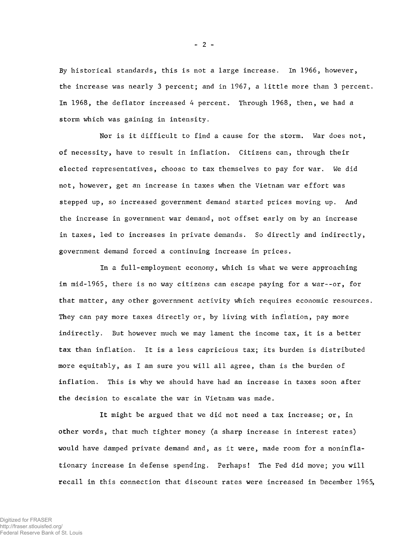By historical standards, this is not a large increase. In 1966, however, the increase was nearly 3 percent; and in 1967, a little more than 3 percent. In 1968, the deflator increased 4 percent. Through 1968, then, we had a storm which was gaining in intensity.

Nor is it difficult to find a cause for the storm. War does not, of necessity, have to result in inflation. Citizens can, through their elected representatives, choose to tax themselves to pay for war. We did not, however, get an increase in taxes when the Vietnam war effort was stepped up, so increased government demand started prices moving up. And the increase in government war demand, not offset early on by an increase in taxes, led to increases in private demands. So directly and indirectly, government demand forced a continuing increase in prices.

In a full-employment economy, which is what we were approaching in mid-1965, there is no way citizens can escape paying for a war--or, for that matter, any other government activity which requires economic resources. They can pay more taxes directly or, by living with inflation, pay more indirectly. But however much we may lament the income tax, it is a better tax than inflation. It is a less capricious tax; its burden is distributed more equitably, as I am sure you will all agree, than is the burden of inflation. This is why we should have had an increase in taxes soon after the decision to escalate the war in Vietnam was made.

It might be argued that we did not need a tax increase; or, in other words, that much tighter money (a sharp increase in interest rates) would have damped private demand and, as it were, made room for a noninflationary increase in defense spending. Perhaps! The Fed did move; you will recall in this connection that discount rates were increased in December 1965,

 $- 2 -$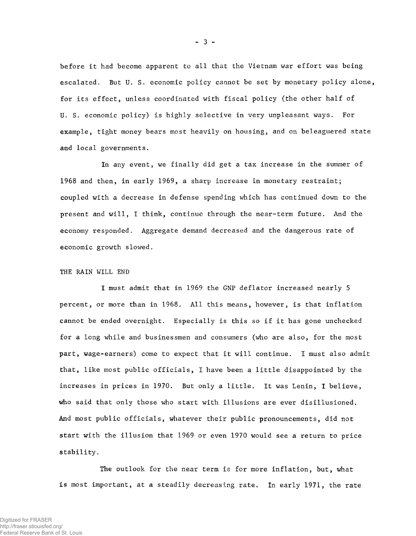before it had become apparent to all that the Vietnam war effort was being escalated. But U. S. economic policy cannot be set by monetary policy alone, for its effect, unless coordinated with fiscal policy (the other half of U. S. economic policy) is highly selective in very unpleasant ways. For example, tight money bears most heavily on housing, and on beleaguered state and local governments.

In any event, we finally did get a tax increase in the summer of 1968 and then, in early 1969, a sharp increase in monetary restraint; coupled with a decrease in defense spending which has continued down to the present and will, I think, continue through the near-term future. And the economy responded. Aggregate demand decreased and the dangerous rate of economic growth slowed.

# THE RAIN WILL END

I must admit that in 1969 the GNP deflator increased nearly 5 percent, or more than in 1968. All this means, however, is that inflation cannot be ended overnight. Especially is this so if it has gone unchecked for a long while and businessmen and consumers (who are also, for the most part, wage-earners) come to expect that it will continue. I must also admit that, like most public officials, I have been a little disappointed by the increases in prices in 1970. But only a little. It was Lenin, I believe, who said that only those who start with illusions are ever disillusioned. And most public officials, whatever their public pronouncements, did not start with the illusion that 1969 or even 1970 would see a return to price stability.

The outlook for the near term is for more inflation, but, what is most important, at a steadily decreasing rate. In early 1971, the rate

- 3 -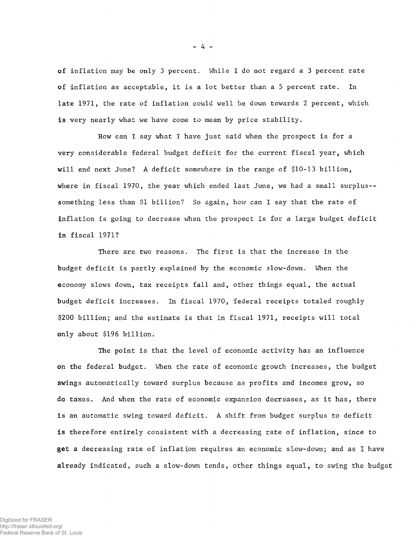of inflation may be only 3 percent. While I do not regard a 3 percent rate of inflation as acceptable, it is a lot better than a 5 percent rate. In late 1971, the rate of inflation could well be down towards 2 percent, which is very nearly what we have come to mean by price stability.

How can I say what I have just said when the prospect is for a very considerable federal budget deficit for the current fiscal year, which will end next June? A deficit somewhere in the range of \$10-13 billion, where in fiscal 1970, the year which ended last June, we had a small surplus- something less than \$1 billion? So again, how can I say that the rate of inflation is going to decrease when the prospect is for a large budget deficit in fiscal 1971?

There are two reasons. The first is that the increase in the budget deficit is partly explained by the economic slow-down. Wien the economy slows down, tax receipts fall and, other things equal, the actual budget deficit increases. In fiscal 1970, federal receipts totaled roughly \$200 billion; and the estimate is that in fiscal 1971, receipts will total only about \$196 billion.

The point is that the level of economic activity has an influence on the federal budget. When the rate of economic growth increases, the budget swings automatically toward surplus because as profits and incomes grow, so do taxes. And when the rate of economic expansion decreases, as it has, there is an automatic swing toward deficit. A shift from budget surplus to deficit is therefore entirely consistent with a decreasing rate of inflation, since to get a decreasing rate of inflation requires an economic slow-down; and as I have already indicated, such a slow-down tends, other things equal, to swing the budget

- 4 -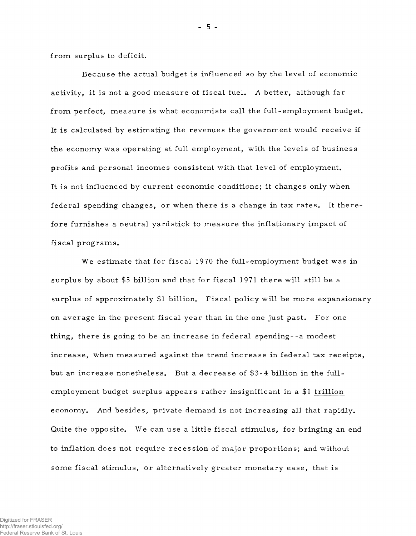from surplus to deficit.

Because the actual budget is influenced so by the level of economic activity, it is not a good measure of fiscal fuel. A better, although far from perfect, measure is what economists call the full-employment budget. It is calculated by estimating the revenues the government would receive if the economy was operating at full employment, with the levels of business profits and personal incomes consistent with that level of employment. It is not influenced by current economic conditions; it changes only when federal spending changes, or when there is a change in tax rates. It therefore furnishes a neutral yardstick to measure the inflationary impact of fiscal programs.

We estimate that for fiscal 1970 the full-employment budget was in surplus by about \$5 billion and that for fiscal  $1971$  there will still be a surplus of approximately \$1 billion. Fiscal policy will be more expansionary on average in the present fiscal year than in the one just past. For one thing, there is going to be an increase in federal spending--a modest increase, when measured against the trend increase in federal tax receipts, but an increase nonetheless. But a decrease of \$3-4 billion in the fullem ployment budget surplus appears rather insignificant in a  $$1$  trillion economy. And besides, private demand is not increasing all that rapidly. Quite the opposite. We can use a little fiscal stimulus, for bringing an end to inflation does not require recession of major proportions; and without some fiscal stimulus, or alternatively greater monetary ease, that is

 $-5 -$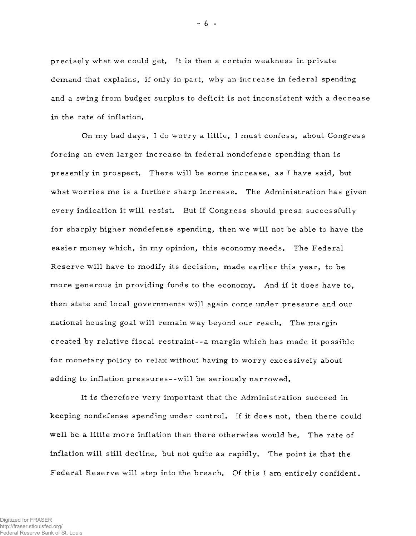precisely what we could get. It is then a certain weakness in private demand that explains, if only in part, why an increase in federal spending and a swing from budget surplus to deficit is not inconsistent with a decrease in the rate of inflation.

On my bad days, I do worry a little, I must confess, about Congress forcing an even larger increase in federal nondefense spending than is presently in prospect. There will be some increase, as  $\bar{r}$  have said, but what worries me is a further sharp increase. The Administration has given every indication it will resist. But if Congress should press successfully for sharply higher nondefense spending, then we will not be able to have the easier money which, in my opinion, this economy needs. The Federal Reserve will have to modify its decision, made earlier this year, to be more generous in providing funds to the economy. And if it does have to, then state and local governments will again come under pressure and our national housing goal will remain way beyond our reach. The margin created by relative fiscal restraint--a margin which has made it possible for monetary policy to relax without having to worry excessively about adding to inflation pressures--will be seriously narrowed.

It is therefore very important that the Administration succeed in keeping nondefense spending under control. If it does not, then there could well be a little more inflation than there otherwise would be. The rate of inflation will still decline, but not quite as rapidly. The point is that the Federal Reserve will step into the breach. Of this I am entirely confident.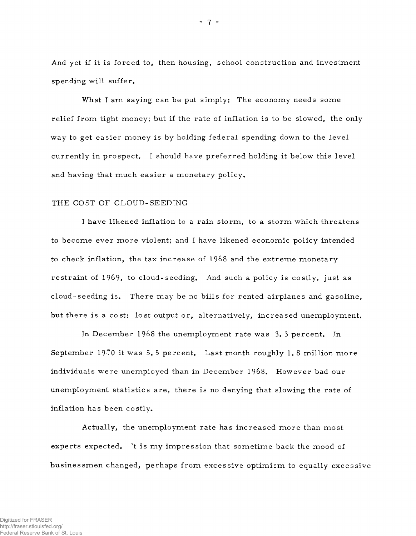And yet if it is forced to, then housing, school construction and investment spending will suffer.

What I am saying can be put simply: The economy needs some relief from tight money; but if the rate of inflation is to be slowed, the only way to get easier money is by holding federal spending down to the level currently in prospect. I should have preferred holding it below this level and having that much easier a monetary policy.

# THE COST OF CLOUD-SEEDING

I have likened inflation to a rain storm, to a storm which threatens to become ever more violent; and I have likened economic policy intended to check inflation, the tax increase of 1968 and the extreme monetary restraint of 1969, to cloud-seeding. And such a policy is costly, just as cloud-seeding is. There may be no bills for rented airplanes and gasoline, but there is a cost: lost output or, alternatively, increased unemployment.

In December 1968 the unemployment rate was  $3.3$  percent. In September 1970 it was 5.5 percent. Last month roughly 1.8 million more individuals were unemployed than in December 1968. However bad our un employment statistics are, there is no denying that slowing the rate of inflation has been costly.

Actually, the unemployment rate has increased more than most experts expected. It is my impression that sometime back the mood of busines smen changed, perhaps from excessive optimism to equally excessive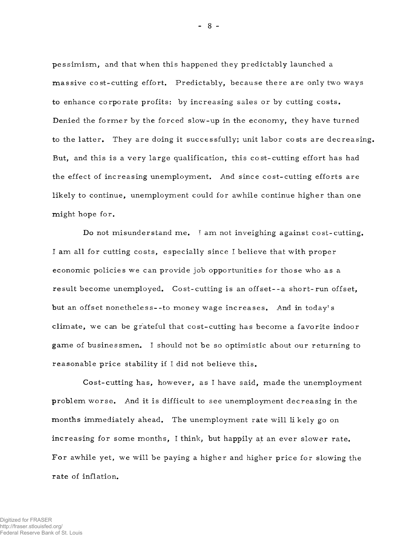pessimism, and that when this happened they predictably launched a massive cost-cutting effort. Predictably, because there are only two ways to enhance corporate profits: by increasing sales or by cutting costs. Denied the former by the forced slow-up in the economy, they have turned to the latter. They are doing it successfully; unit labor costs are decreasing. But, and this is a very large qualification, this cost-cutting effort has had the effect of increasing unemployment. And since cost-cutting efforts are likely to continue, unemployment could for awhile continue higher than one might hope for.

Do not misunderstand me. I am not inveighing against cost-cutting. I am all for cutting costs, especially since I believe that with proper economic policies we can provide job opportunities for those who as a result become unemployed. Cost-cutting is an offset--a short-run offset, but an offset nonetheless--to money wage increases. And in today's climate, we can be grateful that cost-cutting has become a favorite indoor game of businessmen. I should not be so optimistic about our returning to reasonable price stability if I did not believe this.

Cost-cutting has, however, as I have said, made the unemployment problem worse. And it is difficult to see unemployment decreasing in the months immediately ahead. The unemployment rate will likely go on increasing for some months, I think, but happily at an ever slower rate. For awhile yet, we will be paying a higher and higher price for slowing the rate of inflation.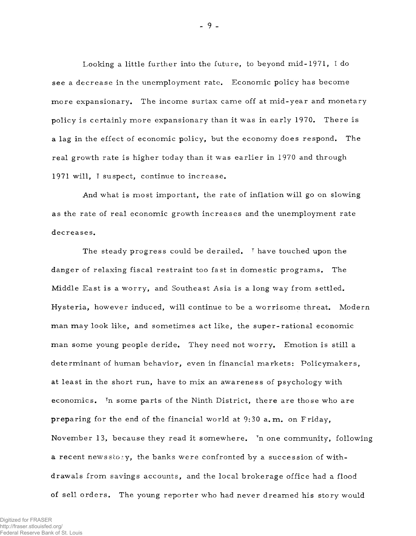Looking a little further into the future, to beyond mid-1971, I do see a decrease in the unemployment rate. Economic policy has become more expansionary. The income surtax came off at mid-year and monetary policy is certainly more expansionary than it was in early 1970. There is a lag in the effect of economic policy, but the economy does respond. The real growth rate is higher today than it was earlier in 1970 and through 1971 will, I suspect, continue to increase.

And what is most important, the rate of inflation will go on slowing as the rate of real economic growth increases and the unemployment rate decreases.

The steady progress could be derailed. I have touched upon the danger of relaxing fiscal restraint too fast in domestic programs. The Middle East is a worry, and Southeast Asia is a long way from settled. Hysteria, however induced, will continue to be a worrisome threat. Modern man may look like, and sometimes act like, the super-rational economic man some young people deride. They need not worry. Emotion is still a determinant of human behavior, even in financial markets: Policymakers, at least in the short run, have to mix an awareness of psychology with economics. In some parts of the Ninth District, there are those who are preparing for the end of the financial world at  $9:30$  a.m. on Friday, November 13, because they read it somewhere. In one community, following a recent newsstory, the banks were confronted by a succession of withdrawals from savings accounts, and the local brokerage office had a flood of sell orders. The young reporter who had never dreamed his story would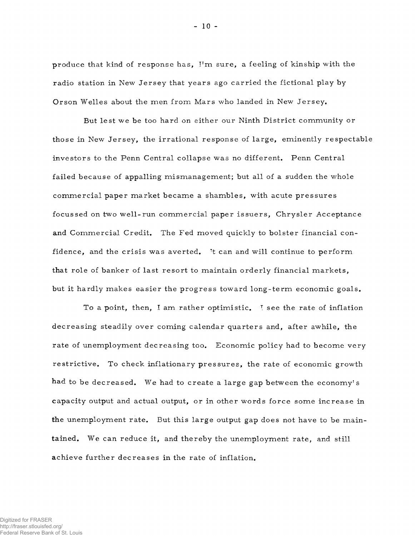produce that kind of response has, I'm sure, a feeling of kinship with the radio station in New Jersey that years ago carried the fictional play by Orson Welles about the men from Mars who landed in New Jersey.

But lest we be too hard on either our Ninth District community or those in New Jersey, the irrational response of large, eminently respectable investors to the Penn Central collapse was no different. Penn Central failed because of appalling mismanagement; but all of a sudden the whole commercial paper market became a shambles, with acute pressures focussed on two well-run commercial paper issuers, Chrysler Acceptance and Commercial Credit. The Fed moved quickly to bolster financial confidence, and the crisis was averted. It can and will continue to perform that role of banker of last resort to maintain orderly financial markets, but it hardly makes easier the progress toward long-term economic goals.

To a point, then, I am rather optimistic. I see the rate of inflation decreasing steadily over coming calendar quarters and, after awhile, the rate of unemployment decreasing too. Economic policy had to become very restrictive. To check inflationary pressures, the rate of economic growth had to be decreased. We had to create a large gap between the economy's capacity output and actual output, or in other words force some increase in the unemployment rate. But this large output gap does not have to be maintained. We can reduce it, and thereby the unemployment rate, and still achieve further decreases in the rate of inflation.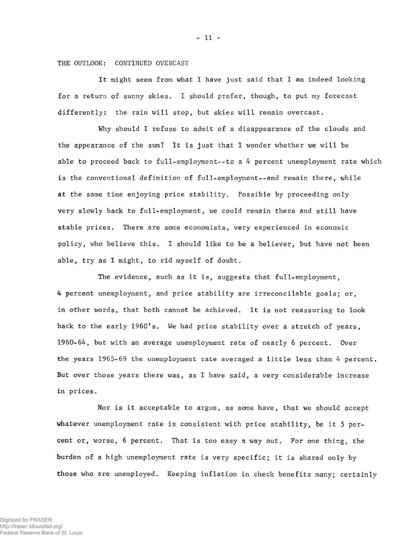# THE OUTLOOK: CONTINUED OVERCAST

It might seem from what I have just said that I am indeed looking for a return of sunny skies. I should prefer, though, to put my forecast differently: the rain will stop, but skies will remain overcast.

Why should I refuse to admit of a disappearance of the clouds and the appearance of the sun? It is just that I wonder whether we will be able to proceed back to full-employment--to a 4 percent unemployment rate which is the conventional definition of full-employment--and remain there, while at the same time enjoying price stability. Possible by proceeding only very slowly back to full-employment, we could remain there and still have stable prices. There are some economists, very experienced in economic policy, who believe this. I should like to be a believer, but have not been able, try as I might, to rid myself of doubt.

The evidence, such as it is, suggests that full-employment, 4 percent unemployment, and price stability are irreconcilable goals; or, in other words, that both cannot be achieved. It is not reassuring to look back to the early 1960's. We had price stability over a stretch of years, 1960-64, but with an average unemployment rate of nearly 6 percent. Over the years 1965-69 the unemployment rate averaged a little less than 4 percent. But over those years there was, as I have said, a very considerable increase in prices.

Nor is it acceptable to argue, as some have, that we should accept whatever unemployment rate is consistent with price stability, be it 5 percent or, worse, 6 percent. That is too easy a way out. For one thing, the burden of a high unemployment rate is very specific; it is shared only by those who are unemployed. Keeping inflation in check benefits many; certainly

- 11 -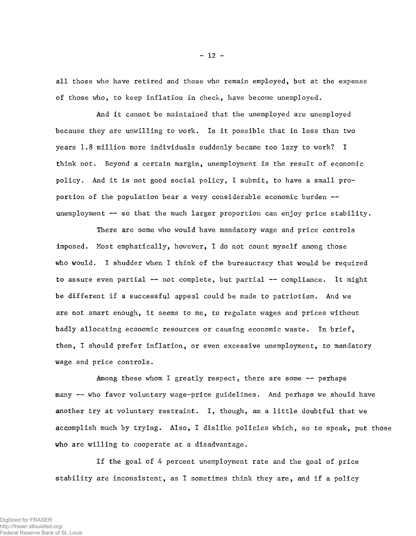all those who have retired and those who remain employed, but at the expense of those who, to keep inflation in check, have become unemployed.

And it cannot be maintained that the unemployed are unemployed because they are unwilling to work. Is it possible that in less than two years 1.8 million more individuals suddenly became too lazy to work? I think not. Beyond a certain margin, unemployment is the result of economic policy. And it is not good social policy, I submit, to have a small proportion of the population bear a very considerable economic burden unemployment — so that the much larger proportion can enjoy price stability.

There are some who would have mandatory wage and price controls imposed. Most emphatically, however, I do not count myself among those who would. I shudder when I think of the bureaucracy that would be required to assure even partial — not complete, but partial — compliance. It might be different if a successful appeal could be made to patriotism. And we are not smart enough, it seems to me, to regulate wages and prices without badly allocating economic resources or causing economic waste. In brief, then, I should prefer inflation, or even excessive unemployment, to mandatory wage and price controls.

Among those whom I greatly respect, there are some -- perhaps many — who favor voluntary wage-price guidelines. And perhaps we should have another try at voluntary restraint. I, though, am a little doubtful that we accomplish much by trying. Also, I dislike policies which, so to speak, put those who are willing to cooperate at a disadvantage.

If the goal of 4 percent unemployment rate and the goal of price stability are inconsistent, as I sometimes think they are, and if a policy